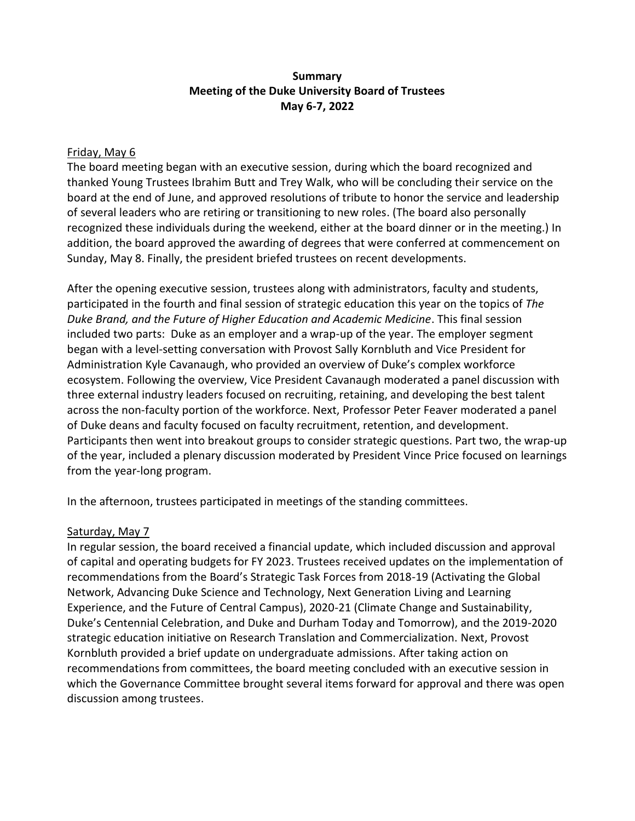### **Summary Meeting of the Duke University Board of Trustees May 6-7, 2022**

#### Friday, May 6

The board meeting began with an executive session, during which the board recognized and thanked Young Trustees Ibrahim Butt and Trey Walk, who will be concluding their service on the board at the end of June, and approved resolutions of tribute to honor the service and leadership of several leaders who are retiring or transitioning to new roles. (The board also personally recognized these individuals during the weekend, either at the board dinner or in the meeting.) In addition, the board approved the awarding of degrees that were conferred at commencement on Sunday, May 8. Finally, the president briefed trustees on recent developments.

After the opening executive session, trustees along with administrators, faculty and students, participated in the fourth and final session of strategic education this year on the topics of *The Duke Brand, and the Future of Higher Education and Academic Medicine*. This final session included two parts: Duke as an employer and a wrap-up of the year. The employer segment began with a level-setting conversation with Provost Sally Kornbluth and Vice President for Administration Kyle Cavanaugh, who provided an overview of Duke's complex workforce ecosystem. Following the overview, Vice President Cavanaugh moderated a panel discussion with three external industry leaders focused on recruiting, retaining, and developing the best talent across the non-faculty portion of the workforce. Next, Professor Peter Feaver moderated a panel of Duke deans and faculty focused on faculty recruitment, retention, and development. Participants then went into breakout groups to consider strategic questions. Part two, the wrap-up of the year, included a plenary discussion moderated by President Vince Price focused on learnings from the year-long program.

In the afternoon, trustees participated in meetings of the standing committees.

#### Saturday, May 7

In regular session, the board received a financial update, which included discussion and approval of capital and operating budgets for FY 2023. Trustees received updates on the implementation of recommendations from the Board's Strategic Task Forces from 2018-19 (Activating the Global Network, Advancing Duke Science and Technology, Next Generation Living and Learning Experience, and the Future of Central Campus), 2020-21 (Climate Change and Sustainability, Duke's Centennial Celebration, and Duke and Durham Today and Tomorrow), and the 2019-2020 strategic education initiative on Research Translation and Commercialization. Next, Provost Kornbluth provided a brief update on undergraduate admissions. After taking action on recommendations from committees, the board meeting concluded with an executive session in which the Governance Committee brought several items forward for approval and there was open discussion among trustees.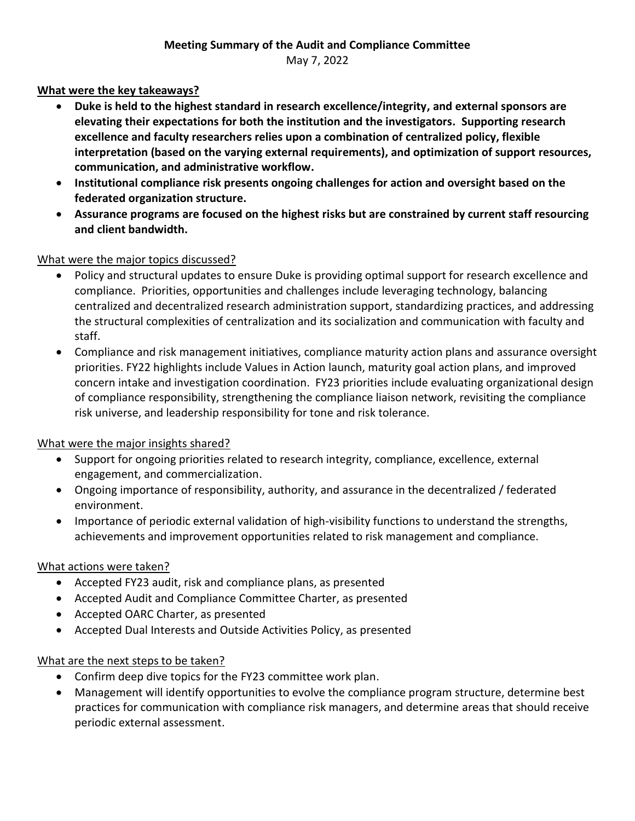## **What were the key takeaways?**

- **Duke is held to the highest standard in research excellence/integrity, and external sponsors are elevating their expectations for both the institution and the investigators. Supporting research excellence and faculty researchers relies upon a combination of centralized policy, flexible interpretation (based on the varying external requirements), and optimization of support resources, communication, and administrative workflow.**
- **Institutional compliance risk presents ongoing challenges for action and oversight based on the federated organization structure.**
- **Assurance programs are focused on the highest risks but are constrained by current staff resourcing and client bandwidth.**

## What were the major topics discussed?

- Policy and structural updates to ensure Duke is providing optimal support for research excellence and compliance. Priorities, opportunities and challenges include leveraging technology, balancing centralized and decentralized research administration support, standardizing practices, and addressing the structural complexities of centralization and its socialization and communication with faculty and staff.
- Compliance and risk management initiatives, compliance maturity action plans and assurance oversight priorities. FY22 highlights include Values in Action launch, maturity goal action plans, and improved concern intake and investigation coordination. FY23 priorities include evaluating organizational design of compliance responsibility, strengthening the compliance liaison network, revisiting the compliance risk universe, and leadership responsibility for tone and risk tolerance.

## What were the major insights shared?

- Support for ongoing priorities related to research integrity, compliance, excellence, external engagement, and commercialization.
- Ongoing importance of responsibility, authority, and assurance in the decentralized / federated environment.
- Importance of periodic external validation of high-visibility functions to understand the strengths, achievements and improvement opportunities related to risk management and compliance.

# What actions were taken?

- Accepted FY23 audit, risk and compliance plans, as presented
- Accepted Audit and Compliance Committee Charter, as presented
- Accepted OARC Charter, as presented
- Accepted Dual Interests and Outside Activities Policy, as presented

## What are the next steps to be taken?

- Confirm deep dive topics for the FY23 committee work plan.
- Management will identify opportunities to evolve the compliance program structure, determine best practices for communication with compliance risk managers, and determine areas that should receive periodic external assessment.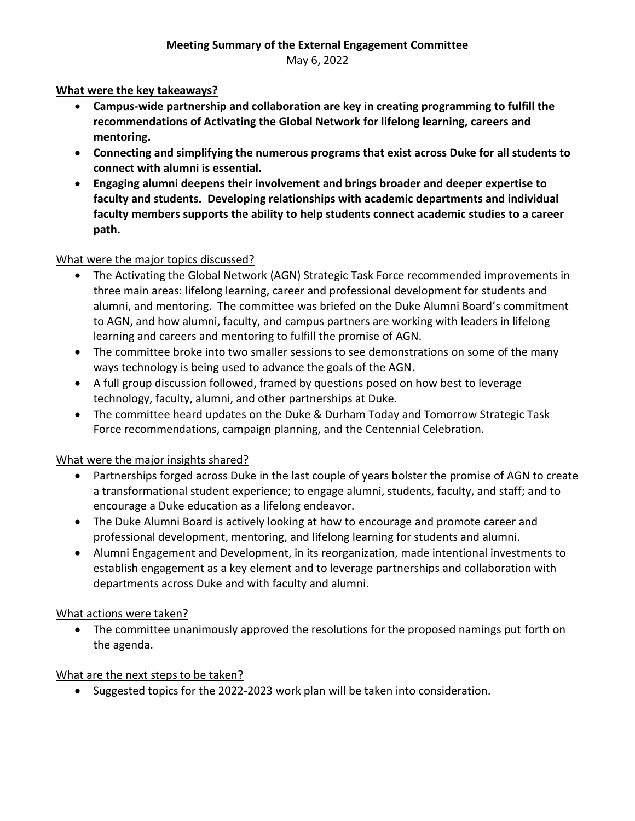May 6, 2022

### **What were the key takeaways?**

- **Campus-wide partnership and collaboration are key in creating programming to fulfill the recommendations of Activating the Global Network for lifelong learning, careers and mentoring.**
- **Connecting and simplifying the numerous programs that exist across Duke for all students to connect with alumni is essential.**
- **Engaging alumni deepens their involvement and brings broader and deeper expertise to faculty and students. Developing relationships with academic departments and individual faculty members supports the ability to help students connect academic studies to a career path.**

## What were the major topics discussed?

- The Activating the Global Network (AGN) Strategic Task Force recommended improvements in three main areas: lifelong learning, career and professional development for students and alumni, and mentoring. The committee was briefed on the Duke Alumni Board's commitment to AGN, and how alumni, faculty, and campus partners are working with leaders in lifelong learning and careers and mentoring to fulfill the promise of AGN.
- The committee broke into two smaller sessions to see demonstrations on some of the many ways technology is being used to advance the goals of the AGN.
- A full group discussion followed, framed by questions posed on how best to leverage technology, faculty, alumni, and other partnerships at Duke.
- The committee heard updates on the Duke & Durham Today and Tomorrow Strategic Task Force recommendations, campaign planning, and the Centennial Celebration.

## What were the major insights shared?

- Partnerships forged across Duke in the last couple of years bolster the promise of AGN to create a transformational student experience; to engage alumni, students, faculty, and staff; and to encourage a Duke education as a lifelong endeavor.
- The Duke Alumni Board is actively looking at how to encourage and promote career and professional development, mentoring, and lifelong learning for students and alumni.
- Alumni Engagement and Development, in its reorganization, made intentional investments to establish engagement as a key element and to leverage partnerships and collaboration with departments across Duke and with faculty and alumni.

#### What actions were taken?

• The committee unanimously approved the resolutions for the proposed namings put forth on the agenda.

#### What are the next steps to be taken?

• Suggested topics for the 2022-2023 work plan will be taken into consideration.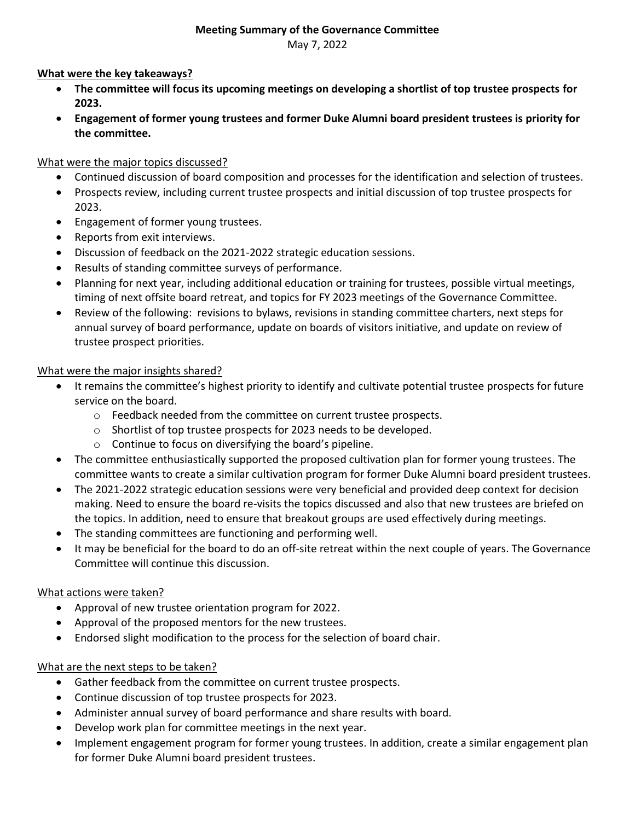#### **Meeting Summary of the Governance Committee**

May 7, 2022

#### **What were the key takeaways?**

- **The committee will focus its upcoming meetings on developing a shortlist of top trustee prospects for 2023.**
- **Engagement of former young trustees and former Duke Alumni board president trustees is priority for the committee.**

#### What were the major topics discussed?

- Continued discussion of board composition and processes for the identification and selection of trustees.
- Prospects review, including current trustee prospects and initial discussion of top trustee prospects for 2023.
- Engagement of former young trustees.
- Reports from exit interviews.
- Discussion of feedback on the 2021-2022 strategic education sessions.
- Results of standing committee surveys of performance.
- Planning for next year, including additional education or training for trustees, possible virtual meetings, timing of next offsite board retreat, and topics for FY 2023 meetings of the Governance Committee.
- Review of the following: revisions to bylaws, revisions in standing committee charters, next steps for annual survey of board performance, update on boards of visitors initiative, and update on review of trustee prospect priorities.

#### What were the major insights shared?

- It remains the committee's highest priority to identify and cultivate potential trustee prospects for future service on the board.
	- o Feedback needed from the committee on current trustee prospects.
	- o Shortlist of top trustee prospects for 2023 needs to be developed.
	- o Continue to focus on diversifying the board's pipeline.
- The committee enthusiastically supported the proposed cultivation plan for former young trustees. The committee wants to create a similar cultivation program for former Duke Alumni board president trustees.
- The 2021-2022 strategic education sessions were very beneficial and provided deep context for decision making. Need to ensure the board re-visits the topics discussed and also that new trustees are briefed on the topics. In addition, need to ensure that breakout groups are used effectively during meetings.
- The standing committees are functioning and performing well.
- It may be beneficial for the board to do an off-site retreat within the next couple of years. The Governance Committee will continue this discussion.

#### What actions were taken?

- Approval of new trustee orientation program for 2022.
- Approval of the proposed mentors for the new trustees.
- Endorsed slight modification to the process for the selection of board chair.

## What are the next steps to be taken?

- Gather feedback from the committee on current trustee prospects.
- Continue discussion of top trustee prospects for 2023.
- Administer annual survey of board performance and share results with board.
- Develop work plan for committee meetings in the next year.
- Implement engagement program for former young trustees. In addition, create a similar engagement plan for former Duke Alumni board president trustees.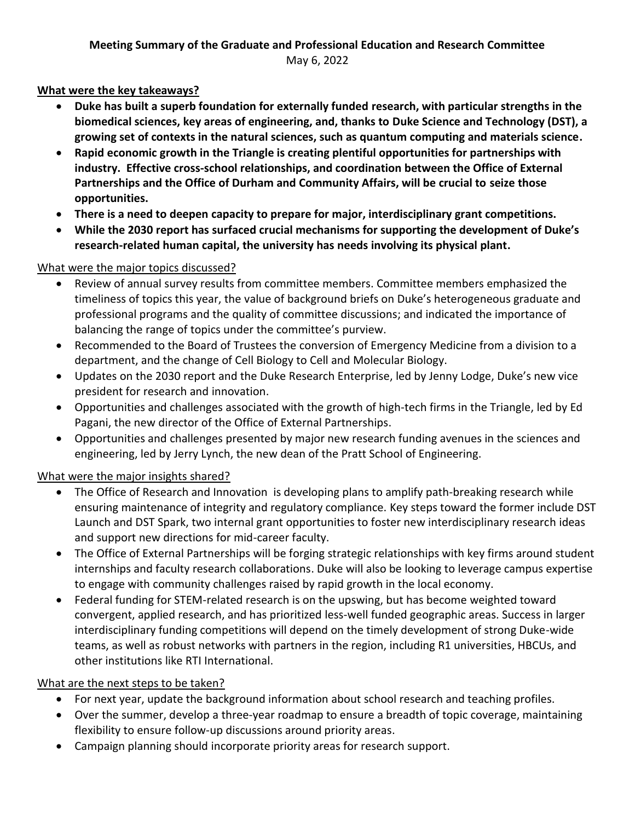## **What were the key takeaways?**

- **Duke has built a superb foundation for externally funded research, with particular strengths in the biomedical sciences, key areas of engineering, and, thanks to Duke Science and Technology (DST), a growing set of contexts in the natural sciences, such as quantum computing and materials science.**
- **Rapid economic growth in the Triangle is creating plentiful opportunities for partnerships with industry. Effective cross-school relationships, and coordination between the Office of External Partnerships and the Office of Durham and Community Affairs, will be crucial to seize those opportunities.**
- **There is a need to deepen capacity to prepare for major, interdisciplinary grant competitions.**
- **While the 2030 report has surfaced crucial mechanisms for supporting the development of Duke's research-related human capital, the university has needs involving its physical plant.**

## What were the major topics discussed?

- Review of annual survey results from committee members. Committee members emphasized the timeliness of topics this year, the value of background briefs on Duke's heterogeneous graduate and professional programs and the quality of committee discussions; and indicated the importance of balancing the range of topics under the committee's purview.
- Recommended to the Board of Trustees the conversion of Emergency Medicine from a division to a department, and the change of Cell Biology to Cell and Molecular Biology.
- Updates on the 2030 report and the Duke Research Enterprise, led by Jenny Lodge, Duke's new vice president for research and innovation.
- Opportunities and challenges associated with the growth of high-tech firms in the Triangle, led by Ed Pagani, the new director of the Office of External Partnerships.
- Opportunities and challenges presented by major new research funding avenues in the sciences and engineering, led by Jerry Lynch, the new dean of the Pratt School of Engineering.

# What were the major insights shared?

- The Office of Research and Innovation is developing plans to amplify path-breaking research while ensuring maintenance of integrity and regulatory compliance. Key steps toward the former include DST Launch and DST Spark, two internal grant opportunities to foster new interdisciplinary research ideas and support new directions for mid-career faculty.
- The Office of External Partnerships will be forging strategic relationships with key firms around student internships and faculty research collaborations. Duke will also be looking to leverage campus expertise to engage with community challenges raised by rapid growth in the local economy.
- Federal funding for STEM-related research is on the upswing, but has become weighted toward convergent, applied research, and has prioritized less-well funded geographic areas. Success in larger interdisciplinary funding competitions will depend on the timely development of strong Duke-wide teams, as well as robust networks with partners in the region, including R1 universities, HBCUs, and other institutions like RTI International.

# What are the next steps to be taken?

- For next year, update the background information about school research and teaching profiles.
- Over the summer, develop a three-year roadmap to ensure a breadth of topic coverage, maintaining flexibility to ensure follow-up discussions around priority areas.
- Campaign planning should incorporate priority areas for research support.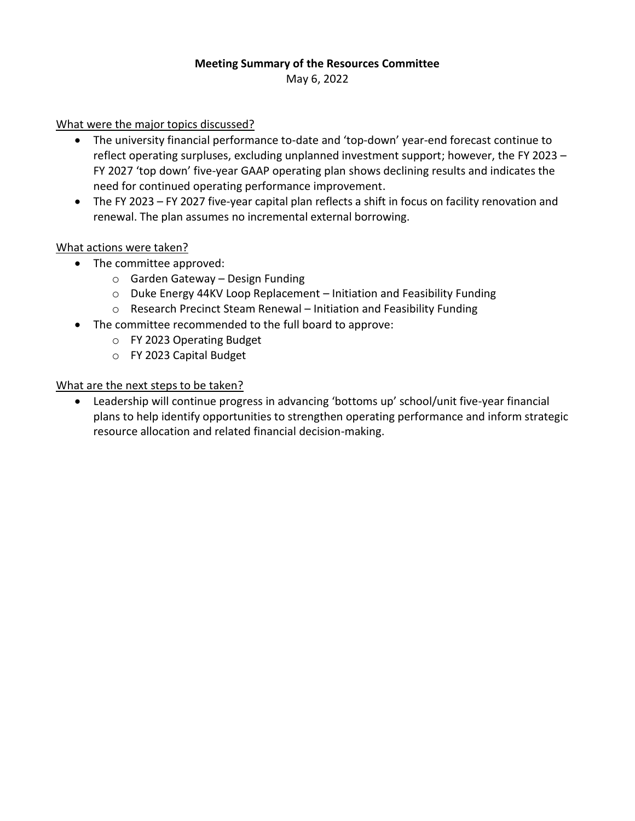# **Meeting Summary of the Resources Committee**

May 6, 2022

What were the major topics discussed?

- The university financial performance to-date and 'top-down' year-end forecast continue to reflect operating surpluses, excluding unplanned investment support; however, the FY 2023 – FY 2027 'top down' five-year GAAP operating plan shows declining results and indicates the need for continued operating performance improvement.
- The FY 2023 FY 2027 five-year capital plan reflects a shift in focus on facility renovation and renewal. The plan assumes no incremental external borrowing.

#### What actions were taken?

- The committee approved:
	- o Garden Gateway Design Funding
	- o Duke Energy 44KV Loop Replacement Initiation and Feasibility Funding
	- o Research Precinct Steam Renewal Initiation and Feasibility Funding
- The committee recommended to the full board to approve:
	- o FY 2023 Operating Budget
	- o FY 2023 Capital Budget

#### What are the next steps to be taken?

• Leadership will continue progress in advancing 'bottoms up' school/unit five-year financial plans to help identify opportunities to strengthen operating performance and inform strategic resource allocation and related financial decision-making.